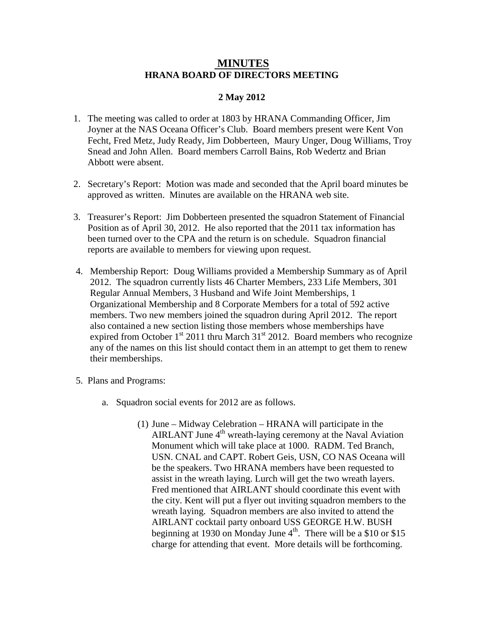## **MINUTES HRANA BOARD OF DIRECTORS MEETING**

## **2 May 2012**

- 1. The meeting was called to order at 1803 by HRANA Commanding Officer, Jim Joyner at the NAS Oceana Officer's Club. Board members present were Kent Von Fecht, Fred Metz, Judy Ready, Jim Dobberteen, Maury Unger, Doug Williams, Troy Snead and John Allen. Board members Carroll Bains, Rob Wedertz and Brian Abbott were absent.
- 2. Secretary's Report: Motion was made and seconded that the April board minutes be approved as written. Minutes are available on the HRANA web site.
- 3. Treasurer's Report: Jim Dobberteen presented the squadron Statement of Financial Position as of April 30, 2012. He also reported that the 2011 tax information has been turned over to the CPA and the return is on schedule. Squadron financial reports are available to members for viewing upon request.
- 4. Membership Report: Doug Williams provided a Membership Summary as of April 2012. The squadron currently lists 46 Charter Members, 233 Life Members, 301 Regular Annual Members, 3 Husband and Wife Joint Memberships, 1 Organizational Membership and 8 Corporate Members for a total of 592 active members. Two new members joined the squadron during April 2012. The report also contained a new section listing those members whose memberships have expired from October  $1<sup>st</sup>$  2011 thru March 31 $<sup>st</sup>$  2012. Board members who recognize</sup> any of the names on this list should contact them in an attempt to get them to renew their memberships.
- 5. Plans and Programs:
	- a. Squadron social events for 2012 are as follows.
		- (1) June Midway Celebration HRANA will participate in the AIRLANT June  $4<sup>th</sup>$  wreath-laying ceremony at the Naval Aviation Monument which will take place at 1000. RADM. Ted Branch, USN. CNAL and CAPT. Robert Geis, USN, CO NAS Oceana will be the speakers. Two HRANA members have been requested to assist in the wreath laying. Lurch will get the two wreath layers. Fred mentioned that AIRLANT should coordinate this event with the city. Kent will put a flyer out inviting squadron members to the wreath laying. Squadron members are also invited to attend the AIRLANT cocktail party onboard USS GEORGE H.W. BUSH beginning at 1930 on Monday June  $4<sup>th</sup>$ . There will be a \$10 or \$15 charge for attending that event. More details will be forthcoming.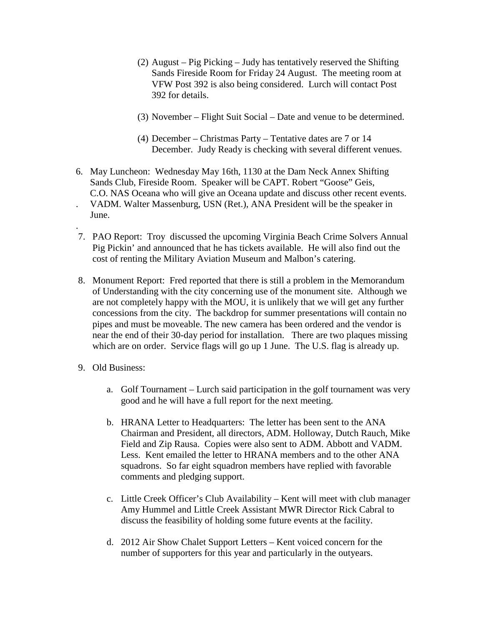- (2) August Pig Picking Judy has tentatively reserved the Shifting Sands Fireside Room for Friday 24 August. The meeting room at VFW Post 392 is also being considered. Lurch will contact Post 392 for details.
- (3) November Flight Suit Social Date and venue to be determined.
- (4) December Christmas Party Tentative dates are 7 or 14 December. Judy Ready is checking with several different venues.
- 6. May Luncheon: Wednesday May 16th, 1130 at the Dam Neck Annex Shifting Sands Club, Fireside Room. Speaker will be CAPT. Robert "Goose" Geis, C.O. NAS Oceana who will give an Oceana update and discuss other recent events. . VADM. Walter Massenburg, USN (Ret.), ANA President will be the speaker in June.
- . 7. PAO Report: Troy discussed the upcoming Virginia Beach Crime Solvers Annual Pig Pickin' and announced that he has tickets available. He will also find out the cost of renting the Military Aviation Museum and Malbon's catering.
- 8. Monument Report: Fred reported that there is still a problem in the Memorandum of Understanding with the city concerning use of the monument site. Although we are not completely happy with the MOU, it is unlikely that we will get any further concessions from the city. The backdrop for summer presentations will contain no pipes and must be moveable. The new camera has been ordered and the vendor is near the end of their 30-day period for installation. There are two plaques missing which are on order. Service flags will go up 1 June. The U.S. flag is already up.
- 9. Old Business:
	- a. Golf Tournament Lurch said participation in the golf tournament was very good and he will have a full report for the next meeting.
	- b. HRANA Letter to Headquarters: The letter has been sent to the ANA Chairman and President, all directors, ADM. Holloway, Dutch Rauch, Mike Field and Zip Rausa. Copies were also sent to ADM. Abbott and VADM. Less. Kent emailed the letter to HRANA members and to the other ANA squadrons. So far eight squadron members have replied with favorable comments and pledging support.
	- c. Little Creek Officer's Club Availability Kent will meet with club manager Amy Hummel and Little Creek Assistant MWR Director Rick Cabral to discuss the feasibility of holding some future events at the facility.
	- d. 2012 Air Show Chalet Support Letters Kent voiced concern for the number of supporters for this year and particularly in the outyears.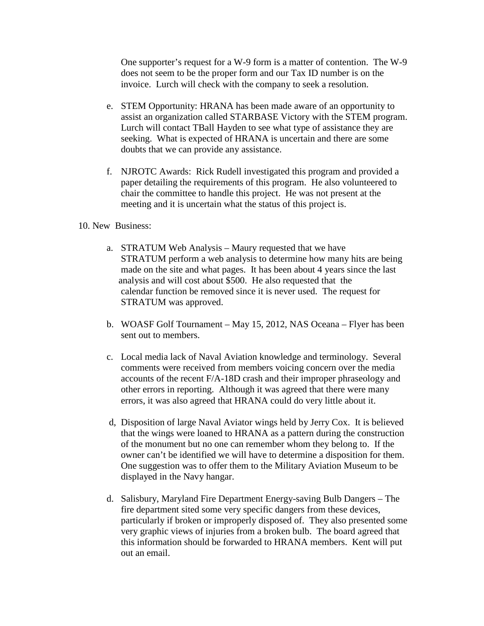One supporter's request for a W-9 form is a matter of contention. The W-9 does not seem to be the proper form and our Tax ID number is on the invoice. Lurch will check with the company to seek a resolution.

- e. STEM Opportunity: HRANA has been made aware of an opportunity to assist an organization called STARBASE Victory with the STEM program. Lurch will contact TBall Hayden to see what type of assistance they are seeking. What is expected of HRANA is uncertain and there are some doubts that we can provide any assistance.
- f. NJROTC Awards: Rick Rudell investigated this program and provided a paper detailing the requirements of this program. He also volunteered to chair the committee to handle this project. He was not present at the meeting and it is uncertain what the status of this project is.

## 10. New Business:

- a. STRATUM Web Analysis Maury requested that we have STRATUM perform a web analysis to determine how many hits are being made on the site and what pages. It has been about 4 years since the last analysis and will cost about \$500. He also requested that the calendar function be removed since it is never used. The request for STRATUM was approved.
- b. WOASF Golf Tournament May 15, 2012, NAS Oceana Flyer has been sent out to members.
- c. Local media lack of Naval Aviation knowledge and terminology. Several comments were received from members voicing concern over the media accounts of the recent F/A-18D crash and their improper phraseology and other errors in reporting. Although it was agreed that there were many errors, it was also agreed that HRANA could do very little about it.
- d, Disposition of large Naval Aviator wings held by Jerry Cox. It is believed that the wings were loaned to HRANA as a pattern during the construction of the monument but no one can remember whom they belong to. If the owner can't be identified we will have to determine a disposition for them. One suggestion was to offer them to the Military Aviation Museum to be displayed in the Navy hangar.
- d. Salisbury, Maryland Fire Department Energy-saving Bulb Dangers The fire department sited some very specific dangers from these devices, particularly if broken or improperly disposed of. They also presented some very graphic views of injuries from a broken bulb. The board agreed that this information should be forwarded to HRANA members. Kent will put out an email.